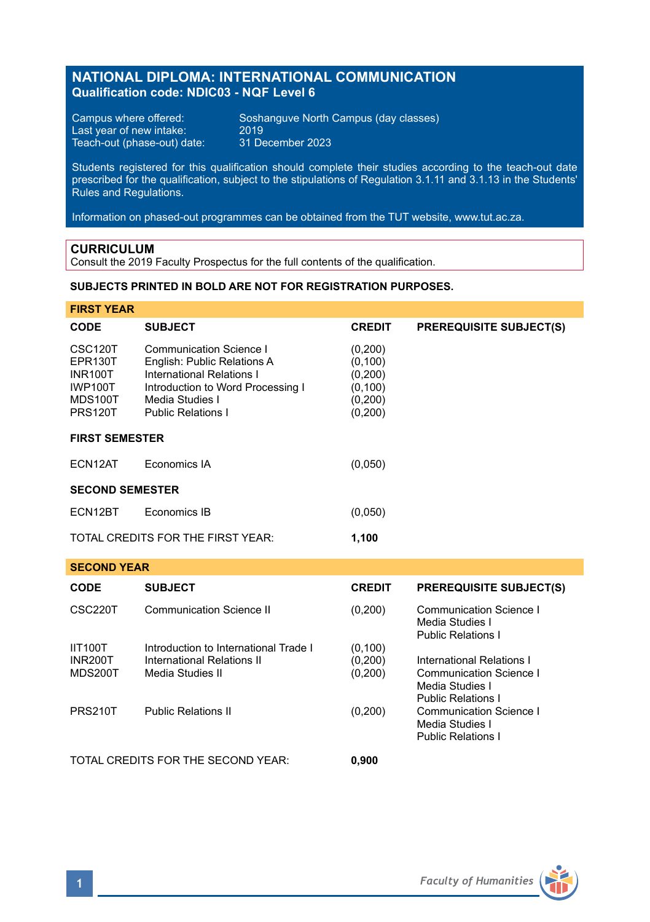# **NATIONAL DIPLOMA: INTERNATIONAL COMMUNICATION Qualification code: NDIC03 - NQF Level 6**

Last year of new intake: 2019 Teach-out (phase-out) date: 31 December 2023

Campus where offered: Soshanguve North Campus (day classes)<br>Last year of new intake: 2019

Students registered for this qualification should complete their studies according to the teach-out date prescribed for the qualification, subject to the stipulations of Regulation 3.1.11 and 3.1.13 in the Students' Rules and Regulations.

Information on phased-out programmes can be obtained from the TUT website, www.tut.ac.za.

## **CURRICULUM**

Consult the 2019 Faculty Prospectus for the full contents of the qualification.

## **SUBJECTS PRINTED IN BOLD ARE NOT FOR REGISTRATION PURPOSES.**

| <b>FIRST YEAR</b>                                                                                |                                                                                                                                                                          |                                                                   |                                                                                                             |  |  |
|--------------------------------------------------------------------------------------------------|--------------------------------------------------------------------------------------------------------------------------------------------------------------------------|-------------------------------------------------------------------|-------------------------------------------------------------------------------------------------------------|--|--|
| CODE                                                                                             | <b>SUBJECT</b>                                                                                                                                                           | <b>CREDIT</b>                                                     | <b>PREREQUISITE SUBJECT(S)</b>                                                                              |  |  |
| CSC <sub>120</sub> T<br>EPR130T<br><b>INR100T</b><br><b>IWP100T</b><br>MDS100T<br><b>PRS120T</b> | Communication Science I<br>English: Public Relations A<br>International Relations I<br>Introduction to Word Processing I<br>Media Studies I<br><b>Public Relations I</b> | (0,200)<br>(0, 100)<br>(0,200)<br>(0, 100)<br>(0,200)<br>(0, 200) |                                                                                                             |  |  |
| <b>FIRST SEMESTER</b>                                                                            |                                                                                                                                                                          |                                                                   |                                                                                                             |  |  |
| ECN12AT                                                                                          | Economics IA                                                                                                                                                             | (0,050)                                                           |                                                                                                             |  |  |
| <b>SECOND SEMESTER</b>                                                                           |                                                                                                                                                                          |                                                                   |                                                                                                             |  |  |
| ECN12BT                                                                                          | Economics IB                                                                                                                                                             | (0,050)                                                           |                                                                                                             |  |  |
| TOTAL CREDITS FOR THE FIRST YEAR:<br>1,100                                                       |                                                                                                                                                                          |                                                                   |                                                                                                             |  |  |
| <b>SECOND YEAR</b>                                                                               |                                                                                                                                                                          |                                                                   |                                                                                                             |  |  |
| <b>CODE</b>                                                                                      | <b>SUBJECT</b>                                                                                                                                                           | <b>CREDIT</b>                                                     | <b>PREREQUISITE SUBJECT(S)</b>                                                                              |  |  |
| CSC220T                                                                                          | <b>Communication Science II</b>                                                                                                                                          | (0,200)                                                           | Communication Science I<br>Media Studies I<br><b>Public Relations I</b>                                     |  |  |
| <b>IIT100T</b><br><b>INR200T</b><br><b>MDS200T</b>                                               | Introduction to International Trade I<br>International Relations II<br>Media Studies II                                                                                  | (0, 100)<br>(0,200)<br>(0, 200)                                   | International Relations I<br>Communication Science I<br>Media Studies I                                     |  |  |
| <b>PRS210T</b>                                                                                   | <b>Public Relations II</b>                                                                                                                                               | (0, 200)                                                          | <b>Public Relations I</b><br><b>Communication Science I</b><br>Media Studies I<br><b>Public Relations I</b> |  |  |
| TOTAL CREDITS FOR THE SECOND YEAR:                                                               |                                                                                                                                                                          | 0,900                                                             |                                                                                                             |  |  |

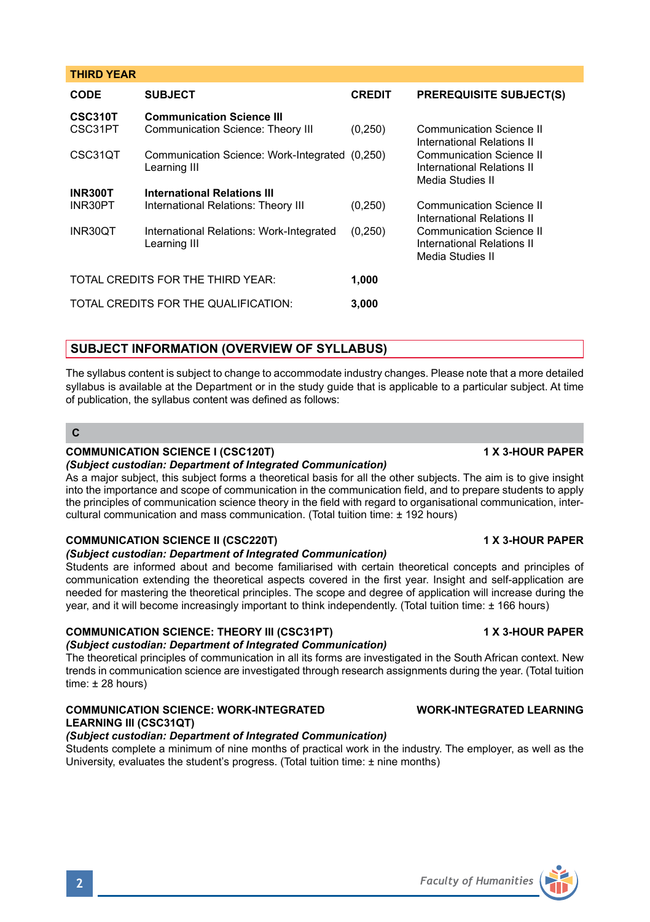### **THIRD YEAR**

| <b>CODE</b>                       | <b>SUBJECT</b>                                                 | <b>CREDIT</b> | <b>PREREQUISITE SUBJECT(S)</b>                         |
|-----------------------------------|----------------------------------------------------------------|---------------|--------------------------------------------------------|
| CSC310T                           | <b>Communication Science III</b>                               |               |                                                        |
| CSC31PT                           | Communication Science: Theory III                              | (0, 250)      | Communication Science II<br>International Relations II |
| CSC31QT                           | Communication Science: Work-Integrated (0,250)<br>Learning III |               | Communication Science II<br>International Relations II |
|                                   |                                                                |               | Media Studies II                                       |
| <b>INR300T</b>                    | <b>International Relations III</b>                             |               |                                                        |
| INR30PT                           | International Relations: Theory III                            | (0, 250)      | Communication Science II<br>International Relations II |
| INR30OT                           | International Relations: Work-Integrated                       | (0,250)       | Communication Science II                               |
|                                   | Learning III                                                   |               | International Relations II<br>Media Studies II         |
| TOTAL CREDITS FOR THE THIRD YEAR: |                                                                | 1,000         |                                                        |
|                                   | TOTAL CREDITS FOR THE QUALIFICATION:                           | 3,000         |                                                        |
|                                   |                                                                |               |                                                        |

## **SUBJECT INFORMATION (OVERVIEW OF SYLLABUS)**

The syllabus content is subject to change to accommodate industry changes. Please note that a more detailed syllabus is available at the Department or in the study guide that is applicable to a particular subject. At time of publication, the syllabus content was defined as follows:

## **C**

### **COMMUNICATION SCIENCE I (CSC120T) 1 X 3-HOUR PAPER**

### *(Subject custodian: Department of Integrated Communication)*

As a major subject, this subject forms a theoretical basis for all the other subjects. The aim is to give insight into the importance and scope of communication in the communication field, and to prepare students to apply the principles of communication science theory in the field with regard to organisational communication, intercultural communication and mass communication. (Total tuition time: ± 192 hours)

### **COMMUNICATION SCIENCE II (CSC220T) 1 X 3-HOUR PAPER**

### *(Subject custodian: Department of Integrated Communication)*

Students are informed about and become familiarised with certain theoretical concepts and principles of communication extending the theoretical aspects covered in the first year. Insight and self-application are needed for mastering the theoretical principles. The scope and degree of application will increase during the year, and it will become increasingly important to think independently. (Total tuition time: ± 166 hours)

## **COMMUNICATION SCIENCE: THEORY III (CSC31PT) 1 X 3-HOUR PAPER**

### *(Subject custodian: Department of Integrated Communication)*

The theoretical principles of communication in all its forms are investigated in the South African context. New trends in communication science are investigated through research assignments during the year. (Total tuition time: ± 28 hours)

## **COMMUNICATION SCIENCE: WORK-INTEGRATED WORK-INTEGRATED LEARNING LEARNING III (CSC31QT)**

## *(Subject custodian: Department of Integrated Communication)*

Students complete a minimum of nine months of practical work in the industry. The employer, as well as the University, evaluates the student's progress. (Total tuition time: ± nine months)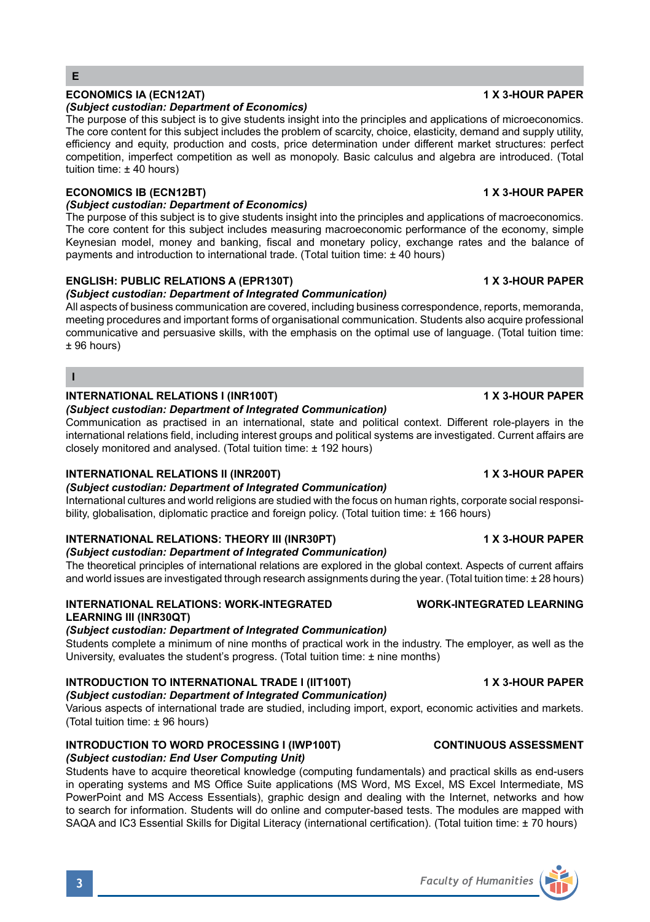### **ECONOMICS IA (ECN12AT) 1 X 3-HOUR PAPER** *(Subject custodian: Department of Economics)*

The purpose of this subject is to give students insight into the principles and applications of microeconomics. The core content for this subject includes the problem of scarcity, choice, elasticity, demand and supply utility, efficiency and equity, production and costs, price determination under different market structures: perfect competition, imperfect competition as well as monopoly. Basic calculus and algebra are introduced. (Total tuition time:  $\pm 40$  hours)

# **ECONOMICS IB (ECN12BT) 1 X 3-HOUR PAPER**

# *(Subject custodian: Department of Economics)*

The purpose of this subject is to give students insight into the principles and applications of macroeconomics. The core content for this subject includes measuring macroeconomic performance of the economy, simple Keynesian model, money and banking, fiscal and monetary policy, exchange rates and the balance of payments and introduction to international trade. (Total tuition time: ± 40 hours)

# **ENGLISH: PUBLIC RELATIONS A (EPR130T) 1 X 3-HOUR PAPER**

# *(Subject custodian: Department of Integrated Communication)*

All aspects of business communication are covered, including business correspondence, reports, memoranda, meeting procedures and important forms of organisational communication. Students also acquire professional communicative and persuasive skills, with the emphasis on the optimal use of language. (Total tuition time: ± 96 hours)

**I**

## **INTERNATIONAL RELATIONS I (INR100T) 1 X 3-HOUR PAPER**

# *(Subject custodian: Department of Integrated Communication)*

Communication as practised in an international, state and political context. Different role-players in the international relations field, including interest groups and political systems are investigated. Current affairs are closely monitored and analysed. (Total tuition time: ± 192 hours)

# **INTERNATIONAL RELATIONS II (INR200T) 1 X 3-HOUR PAPER**

*(Subject custodian: Department of Integrated Communication)*

International cultures and world religions are studied with the focus on human rights, corporate social responsibility, globalisation, diplomatic practice and foreign policy. (Total tuition time: +166 hours)

# **INTERNATIONAL RELATIONS: THEORY III (INR30PT) 1 X 3-HOUR PAPER**

*(Subject custodian: Department of Integrated Communication)* The theoretical principles of international relations are explored in the global context. Aspects of current affairs and world issues are investigated through research assignments during the year. (Total tuition time: ± 28 hours)

## **INTERNATIONAL RELATIONS: WORK-INTEGRATED WORK-INTEGRATED LEARNING LEARNING III (INR30QT)**

*(Subject custodian: Department of Integrated Communication)*

Students complete a minimum of nine months of practical work in the industry. The employer, as well as the University, evaluates the student's progress. (Total tuition time: ± nine months)

# **INTRODUCTION TO INTERNATIONAL TRADE I (IIT100T) 1 X 3-HOUR PAPER**

*(Subject custodian: Department of Integrated Communication)*

Various aspects of international trade are studied, including import, export, economic activities and markets. (Total tuition time: ± 96 hours)

### **INTRODUCTION TO WORD PROCESSING I (IWP100T) CONTINUOUS ASSESSMENT** *(Subject custodian: End User Computing Unit)*

Students have to acquire theoretical knowledge (computing fundamentals) and practical skills as end-users in operating systems and MS Office Suite applications (MS Word, MS Excel, MS Excel Intermediate, MS PowerPoint and MS Access Essentials), graphic design and dealing with the Internet, networks and how to search for information. Students will do online and computer-based tests. The modules are mapped with SAQA and IC3 Essential Skills for Digital Literacy (international certification). (Total tuition time: ± 70 hours)